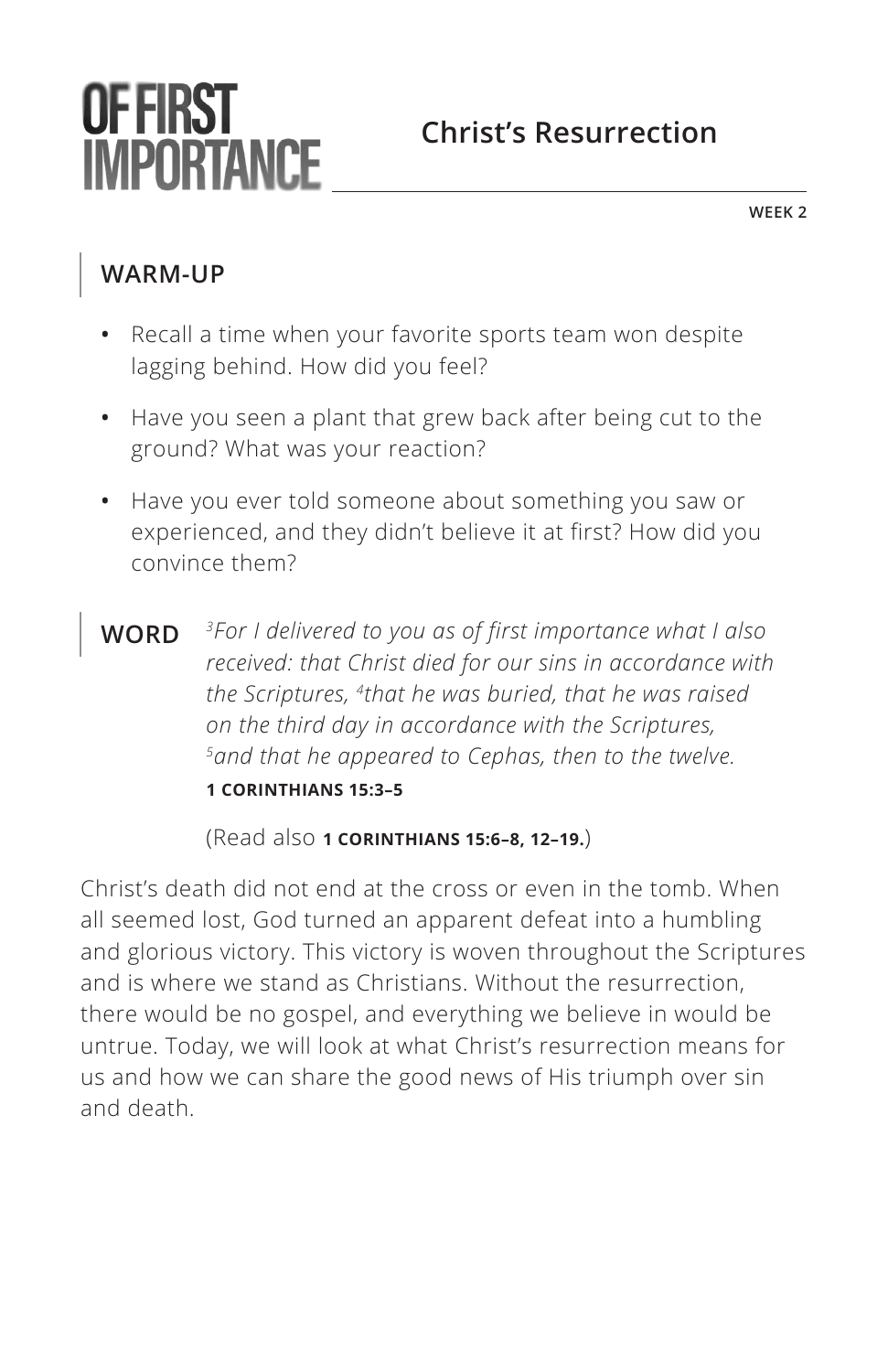# **OF FIRST IMPORTANCE**

## **Christ's Resurrection**

**WEEK 2**

### **WARM-UP**

- **•** Recall a time when your favorite sports team won despite lagging behind. How did you feel?
- **•** Have you seen a plant that grew back after being cut to the ground? What was your reaction?
- **•** Have you ever told someone about something you saw or experienced, and they didn't believe it at first? How did you convince them?
- **WORD** *3For I delivered to you as of first importance what I also received: that Christ died for our sins in accordance with the Scriptures, 4that he was buried, that he was raised on the third day in accordance with the Scriptures, 5and that he appeared to Cephas, then to the twelve. ^***1 CORINTHIANS 15:3–5**

(Read also **^1 CORINTHIANS 15:6–8, 12–19.**)

Christ's death did not end at the cross or even in the tomb. When all seemed lost, God turned an apparent defeat into a humbling and glorious victory. This victory is woven throughout the Scriptures and is where we stand as Christians. Without the resurrection, there would be no gospel, and everything we believe in would be untrue. Today, we will look at what Christ's resurrection means for us and how we can share the good news of His triumph over sin and death.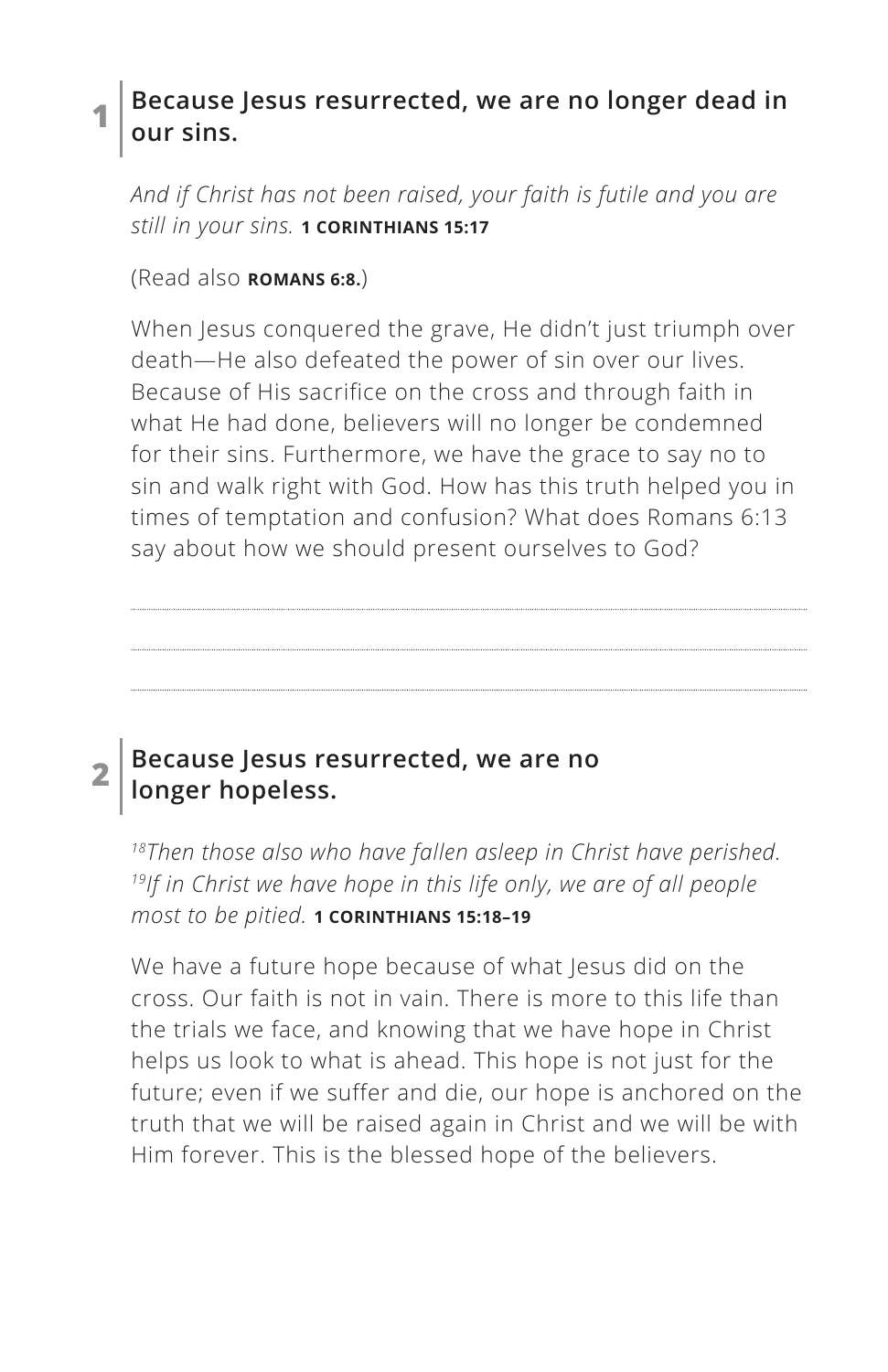#### **1 Because Jesus resurrected, we are no longer dead in our sins.**

*And if Christ has not been raised, your faith is futile and you are still in your sins. ^***1 CORINTHIANS 15:17**

(Read also **^ROMANS 6:8.**)

When Jesus conquered the grave, He didn't just triumph over death—He also defeated the power of sin over our lives. Because of His sacrifice on the cross and through faith in what He had done, believers will no longer be condemned for their sins. Furthermore, we have the grace to say no to sin and walk right with God. How has this truth helped you in times of temptation and confusion? What does Romans 6:13 say about how we should present ourselves to God?

#### **2 Because Jesus resurrected, we are no longer hopeless.**

*18Then those also who have fallen asleep in Christ have perished. 19If in Christ we have hope in this life only, we are of all people most to be pitied. ^***1 CORINTHIANS 15:18–19**

We have a future hope because of what Jesus did on the cross. Our faith is not in vain. There is more to this life than the trials we face, and knowing that we have hope in Christ helps us look to what is ahead. This hope is not just for the future; even if we suffer and die, our hope is anchored on the truth that we will be raised again in Christ and we will be with Him forever. This is the blessed hope of the believers.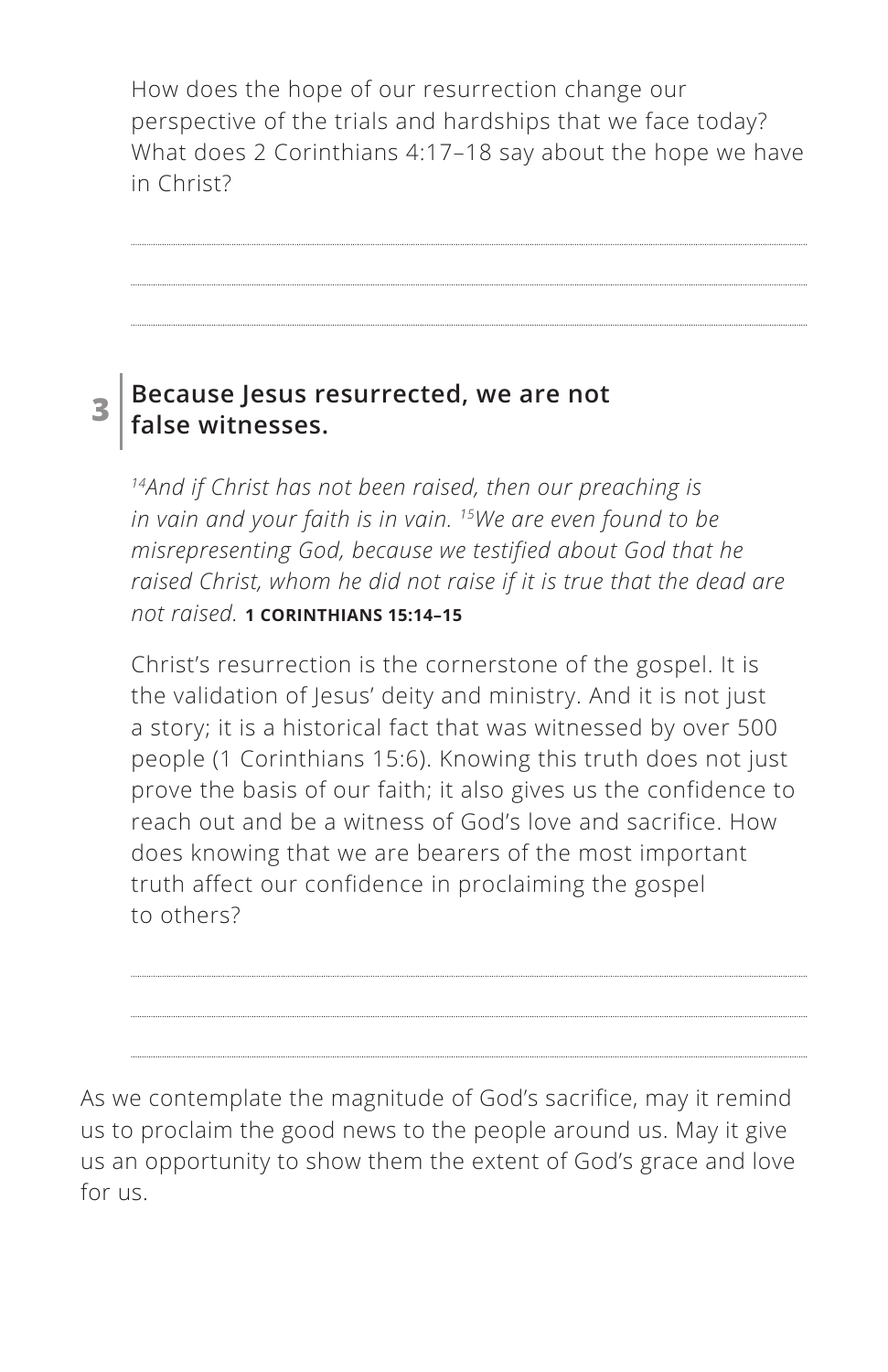How does the hope of our resurrection change our perspective of the trials and hardships that we face today? What does 2 Corinthians 4:17–18 say about the hope we have in Christ?

#### **3 Because Jesus resurrected, we are not false witnesses.**

*14And if Christ has not been raised, then our preaching is in vain and your faith is in vain. 15We are even found to be misrepresenting God, because we testified about God that he raised Christ, whom he did not raise if it is true that the dead are not raised. ^***1 CORINTHIANS 15:14–15**

Christ's resurrection is the cornerstone of the gospel. It is the validation of Jesus' deity and ministry. And it is not just a story; it is a historical fact that was witnessed by over 500 people (1 Corinthians 15:6). Knowing this truth does not just prove the basis of our faith; it also gives us the confidence to reach out and be a witness of God's love and sacrifice. How does knowing that we are bearers of the most important truth affect our confidence in proclaiming the gospel to others?

As we contemplate the magnitude of God's sacrifice, may it remind us to proclaim the good news to the people around us. May it give us an opportunity to show them the extent of God's grace and love for us.